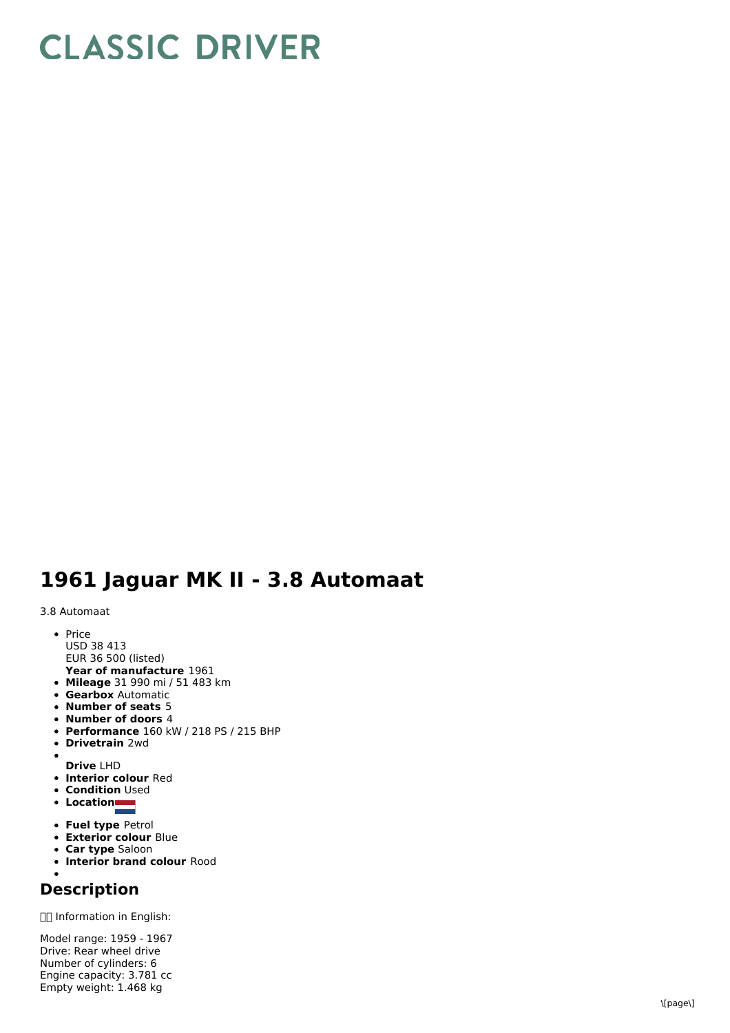## **CLASSIC DRIVER**

## 1961 Jaguar MK II - 3.8 Automaat

3.8 Automaat

- P ric e
- U S D 3 8 4 1 3
- EUR 36 500 (listed)
- **Year of manufacture** 1961
- **Mileage** 31 990 mi / 51 483 km
- **Gearbox** Automatic
- **N u m b e r o f s e a t s** 5
- **Number of doors 4**
- **Performance** 160 kW / 218 PS / 215 BHP
- **D riv e t r ain** 2 w d  $\bullet$
- **D riv e** L H D
- **Interior colour** Red
- **Condition** Used
- **L o c a tio n**
- **Fuel type Petrol**
- **Exterior colour** Blu e
- **Car type** Saloon
- **Interior brand colour Rood**

## **D e s c rip tio n**

□□ Information in English:

Model range: 1959 - 1967 Drive: Rear wheel drive Number of cylinders: 6 Engine capacity: 3.781 cc Empty weight: 1.468 kg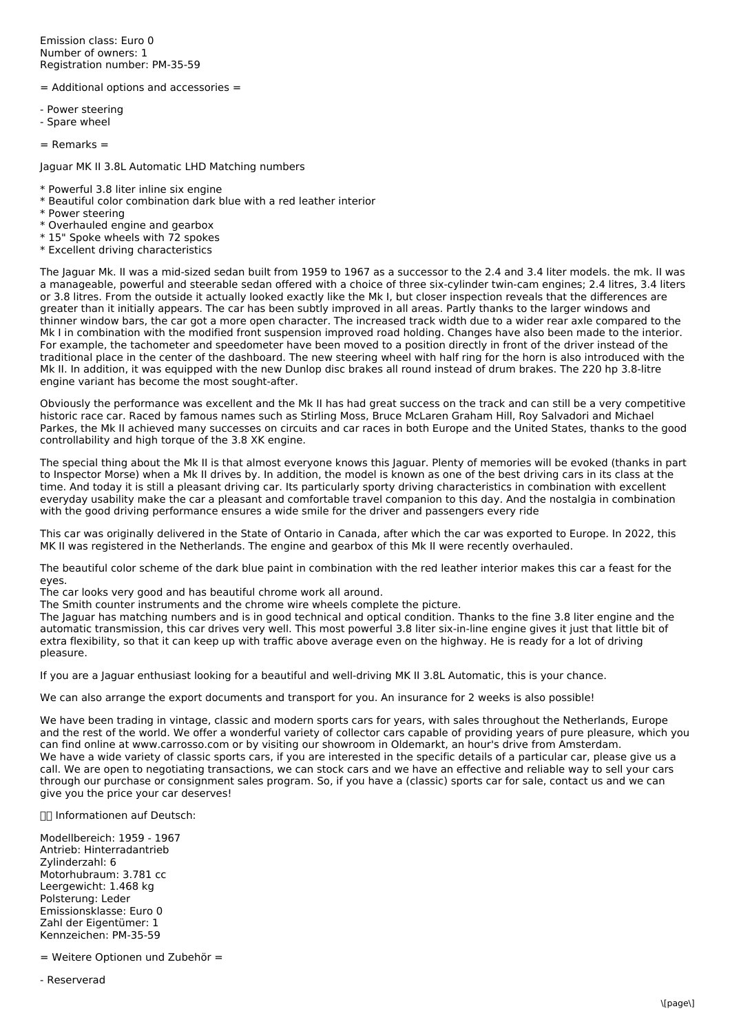Emission class: Euro 0 Number of owners: 1 Registration number: PM-35-59

= Additional options and accessories =

- Power steering
- Spare wheel

= Remarks =

Jaguar MK II 3.8L Automatic LHD Matching numbers

- \* Powerful 3.8 liter inline six engine
- \* Beautiful color combination dark blue with a red leather interior
- \* Power steering
- \* Overhauled engine and gearbox
- \* 15" Spoke wheels with 72 spokes
- \* Excellent driving characteristics

The Jaguar Mk. II was a mid-sized sedan built from 1959 to 1967 as a successor to the 2.4 and 3.4 liter models. the mk. II was a manageable, powerful and steerable sedan offered with a choice of three six-cylinder twin-cam engines; 2.4 litres, 3.4 liters or 3.8 litres. From the outside it actually looked exactly like the Mk I, but closer inspection reveals that the differences are greater than it initially appears. The car has been subtly improved in all areas. Partly thanks to the larger windows and thinner window bars, the car got a more open character. The increased track width due to a wider rear axle compared to the Mk I in combination with the modified front suspension improved road holding. Changes have also been made to the interior. For example, the tachometer and speedometer have been moved to a position directly in front of the driver instead of the traditional place in the center of the dashboard. The new steering wheel with half ring for the horn is also introduced with the Mk II. In addition, it was equipped with the new Dunlop disc brakes all round instead of drum brakes. The 220 hp 3.8-litre engine variant has become the most sought-after.

Obviously the performance was excellent and the Mk II has had great success on the track and can still be a very competitive historic race car. Raced by famous names such as Stirling Moss, Bruce McLaren Graham Hill, Roy Salvadori and Michael Parkes, the Mk II achieved many successes on circuits and car races in both Europe and the United States, thanks to the good controllability and high torque of the 3.8 XK engine.

The special thing about the Mk II is that almost everyone knows this Jaguar. Plenty of memories will be evoked (thanks in part to Inspector Morse) when a Mk II drives by. In addition, the model is known as one of the best driving cars in its class at the time. And today it is still a pleasant driving car. Its particularly sporty driving characteristics in combination with excellent everyday usability make the car a pleasant and comfortable travel companion to this day. And the nostalgia in combination with the good driving performance ensures a wide smile for the driver and passengers every ride

This car was originally delivered in the State of Ontario in Canada, after which the car was exported to Europe. In 2022, this MK II was registered in the Netherlands. The engine and gearbox of this Mk II were recently overhauled.

The beautiful color scheme of the dark blue paint in combination with the red leather interior makes this car a feast for the eyes.

The car looks very good and has beautiful chrome work all around.

The Smith counter instruments and the chrome wire wheels complete the picture.

The Jaguar has matching numbers and is in good technical and optical condition. Thanks to the fine 3.8 liter engine and the automatic transmission, this car drives very well. This most powerful 3.8 liter six-in-line engine gives it just that little bit of extra flexibility, so that it can keep up with traffic above average even on the highway. He is ready for a lot of driving pleasure.

If you are a Jaguar enthusiast looking for a beautiful and well-driving MK II 3.8L Automatic, this is your chance.

We can also arrange the export documents and transport for you. An insurance for 2 weeks is also possible!

We have been trading in vintage, classic and modern sports cars for years, with sales throughout the Netherlands, Europe and the rest of the world. We offer a wonderful variety of collector cars capable of providing years of pure pleasure, which you can find online at www.carrosso.com or by visiting our showroom in Oldemarkt, an hour's drive from Amsterdam. We have a wide variety of classic sports cars, if you are interested in the specific details of a particular car, please give us a call. We are open to negotiating transactions, we can stock cars and we have an effective and reliable way to sell your cars through our purchase or consignment sales program. So, if you have a (classic) sports car for sale, contact us and we can give you the price your car deserves!

Informationen auf Deutsch:

Modellbereich: 1959 - 1967 Antrieb: Hinterradantrieb Zylinderzahl: 6 Motorhubraum: 3.781 cc Leergewicht: 1.468 kg Polsterung: Leder Emissionsklasse: Euro 0 Zahl der Eigentümer: 1 Kennzeichen: PM-35-59

= Weitere Optionen und Zubehör =

- Reserverad